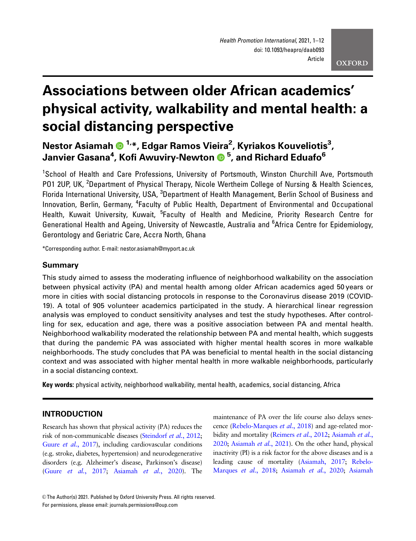# Associations between older African academics' physical activity, walkability and mental health: a social distancing perspective

Nestor Asiamah 1,\*, Edgar Ramos Vieira2 , Kyriakos Kouveliotis3 , Janvier Gasana4 , Kofi Awuviry-Newton <sup>5</sup> , and Richard Eduafo6

<sup>1</sup>School of Health and Care Professions, University of Portsmouth, Winston Churchill Ave, Portsmouth PO1 2UP, UK, <sup>2</sup>Department of Physical Therapy, Nicole Wertheim College of Nursing & Health Sciences, Florida International University, USA, <sup>3</sup>Department of Health Management, Berlin School of Business and Innovation, Berlin, Germany, <sup>4</sup>Faculty of Public Health, Department of Environmental and Occupational Health, Kuwait University, Kuwait, <sup>5</sup>Faculty of Health and Medicine, Priority Research Centre for Generational Health and Ageing, University of Newcastle, Australia and <sup>6</sup>Africa Centre for Epidemiology, Gerontology and Geriatric Care, Accra North, Ghana

\*Corresponding author. E-mail: nestor.asiamah@myport.ac.uk

#### Summary

This study aimed to assess the moderating influence of neighborhood walkability on the association between physical activity (PA) and mental health among older African academics aged 50 years or more in cities with social distancing protocols in response to the Coronavirus disease 2019 (COVID-19). A total of 905 volunteer academics participated in the study. A hierarchical linear regression analysis was employed to conduct sensitivity analyses and test the study hypotheses. After controlling for sex, education and age, there was a positive association between PA and mental health. Neighborhood walkability moderated the relationship between PA and mental health, which suggests that during the pandemic PA was associated with higher mental health scores in more walkable neighborhoods. The study concludes that PA was beneficial to mental health in the social distancing context and was associated with higher mental health in more walkable neighborhoods, particularly in a social distancing context.

Key words: physical activity, neighborhood walkability, mental health, academics, social distancing, Africa

# INTRODUCTION

Research has shown that physical activity (PA) reduces the risk of non-communicable diseases [\(Steindorf](#page-11-0) et al., 2012; Guure et al.[, 2017\)](#page-10-0), including cardiovascular conditions (e.g. stroke, diabetes, hypertension) and neurodegenerative disorders (e.g. Alzheimer's disease, Parkinson's disease) (Guure et al.[, 2017;](#page-10-0) [Asiamah](#page-9-0) et al., 2020). The

maintenance of PA over the life course also delays senescence [\(Rebelo-Marques](#page-11-0) et al., 2018) and age-related mor-bidity and mortality [\(Reimers](#page-11-0) et al., 2012; [Asiamah](#page-9-0) et al., [2020;](#page-9-0) [Asiamah](#page-9-0) et al., 2021). On the other hand, physical inactivity (PI) is a risk factor for the above diseases and is a leading cause of mortality [\(Asiamah, 2017;](#page-9-0) [Rebelo-](#page-11-0)[Marques](#page-11-0) et al., 2018; [Asiamah](#page-9-0) et al., 2020; Asiamah

<sup>©</sup> The Author(s) 2021. Published by Oxford University Press. All rights reserved. For permissions, please email: journals.permissions@oup.com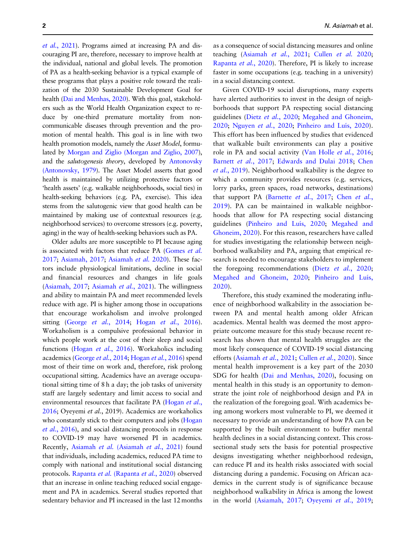et al.[, 2021](#page-9-0)). Programs aimed at increasing PA and discouraging PI are, therefore, necessary to improve health at the individual, national and global levels. The promotion of PA as a health-seeking behavior is a typical example of these programs that plays a positive role toward the realization of the 2030 Sustainable Development Goal for health [\(Dai and Menhas, 2020\)](#page-10-0). With this goal, stakeholders such as the World Health Organization expect to reduce by one-third premature mortality from noncommunicable diseases through prevention and the promotion of mental health. This goal is in line with two health promotion models, namely the Asset Model, formulated by [Morgan and Ziglio \(Morgan and Ziglio, 2007\)](#page-10-0), and the salutogenesis theory, developed by [Antonovsky](#page-9-0) [\(Antonovsky, 1979\)](#page-9-0). The Asset Model asserts that good health is maintained by utilizing protective factors or 'health assets' (e.g. walkable neighborhoods, social ties) in health-seeking behaviors (e.g. PA, exercise). This idea stems from the salutogenic view that good health can be maintained by making use of contextual resources (e.g. neighborhood services) to overcome stressors (e.g. poverty, aging) in the way of health-seeking behaviors such as PA.

Older adults are more susceptible to PI because aging is associated with factors that reduce PA [\(Gomes](#page-10-0) et al. [2017](#page-10-0); [Asiamah, 2017](#page-9-0); [Asiamah](#page-9-0) et al. 2020). These factors include physiological limitations, decline in social and financial resources and changes in life goals [\(Asiamah, 2017;](#page-9-0) [Asiamah](#page-9-0) et al., 2021). The willingness and ability to maintain PA and meet recommended levels reduce with age. PI is higher among those in occupations that encourage workaholism and involve prolonged sitting (George et al.[, 2014](#page-10-0); Hogan et al.[, 2016\)](#page-10-0). Workaholism is a compulsive professional behavior in which people work at the cost of their sleep and social functions (Hogan et al.[, 2016](#page-10-0)). Workaholics including academics [\(George](#page-10-0) et al., 2014; [Hogan](#page-10-0) et al., 2016) spend most of their time on work and, therefore, risk prolong occupational sitting. Academics have an average occupational sitting time of 8 h a day; the job tasks of university staff are largely sedentary and limit access to social and environmental resources that facilitate PA ([Hogan](#page-10-0) et al., [2016](#page-10-0); Oyeyemi et al., 2019). Academics are workaholics who constantly stick to their computers and jobs [\(Hogan](#page-10-0) et al.[, 2016](#page-10-0)), and social distancing protocols in response to COVID-19 may have worsened PI in academics. Recently, Asiamah et al. [\(Asiamah](#page-9-0) et al., 2021) found that individuals, including academics, reduced PA time to comply with national and institutional social distancing protocols. Rapanta et al. [\(Rapanta](#page-11-0) et al., 2020) observed that an increase in online teaching reduced social engagement and PA in academics. Several studies reported that sedentary behavior and PI increased in the last 12 months

as a consequence of social distancing measures and online teaching [\(Asiamah](#page-9-0) et al., 2021; [Cullen](#page-10-0) et al. 2020; [Rapanta](#page-11-0) et al., 2020). Therefore, PI is likely to increase faster in some occupations (e.g. teaching in a university) in a social distancing context.

Given COVID-19 social disruptions, many experts have alerted authorities to invest in the design of neighborhoods that support PA respecting social distancing guidelines (Dietz et al.[, 2020;](#page-10-0) [Megahed and Ghoneim,](#page-10-0) [2020](#page-10-0); [Nguyen](#page-10-0) et al., 2020; Pinheiro and Luís, 2020). This effort has been influenced by studies that evidenced that walkable built environments can play a positive role in PA and social activity ([Van Holle](#page-11-0) *et al.*, 2016; [Barnett](#page-10-0) et al., 2017; [Edwards and Dulai 2018;](#page-10-0) [Chen](#page-10-0) et al.[, 2019\)](#page-10-0). Neighborhood walkability is the degree to which a community provides resources (e.g. services, lorry parks, green spaces, road networks, destinations) that support PA [\(Barnette](#page-10-0) [et al.](#page-10-0), 2017; Chen et al., [2019](#page-10-0)). PA can be maintained in walkable neighborhoods that allow for PA respecting social distancing guidelines (Pinheiro and Luís, 2020; [Megahed and](#page-10-0) [Ghoneim, 2020\)](#page-10-0). For this reason, researchers have called for studies investigating the relationship between neighborhood walkability and PA, arguing that empirical research is needed to encourage stakeholders to implement the foregoing recommendations (Dietz et al.[, 2020](#page-10-0); [Megahed and Ghoneim, 2020;](#page-10-0) Pinheiro and Luís, [2020](#page-10-0)).

Therefore, this study examined the moderating influence of neighborhood walkability in the association between PA and mental health among older African academics. Mental health was deemed the most appropriate outcome measure for this study because recent research has shown that mental health struggles are the most likely consequence of COVID-19 social distancing efforts ([Asiamah](#page-9-0) et al., 2021; [Cullen](#page-10-0) et al., 2020). Since mental health improvement is a key part of the 2030 SDG for health ([Dai and Menhas, 2020\)](#page-10-0), focusing on mental health in this study is an opportunity to demonstrate the joint role of neighborhood design and PA in the realization of the foregoing goal. With academics being among workers most vulnerable to PI, we deemed it necessary to provide an understanding of how PA can be supported by the built environment to buffer mental health declines in a social distancing context. This crosssectional study sets the basis for potential prospective designs investigating whether neighborhood redesign, can reduce PI and its health risks associated with social distancing during a pandemic. Focusing on African academics in the current study is of significance because neighborhood walkability in Africa is among the lowest in the world ([Asiamah, 2017;](#page-9-0) [Oyeyemi](#page-11-0) et al., 2019;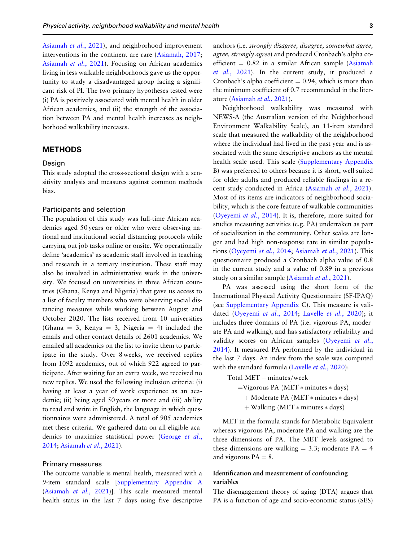[Asiamah](#page-9-0) et al., 2021), and neighborhood improvement interventions in the continent are rare ([Asiamah, 2017](#page-9-0); [Asiamah](#page-9-0) et al., 2021). Focusing on African academics living in less walkable neighborhoods gave us the opportunity to study a disadvantaged group facing a significant risk of PI. The two primary hypotheses tested were (i) PA is positively associated with mental health in older African academics, and (ii) the strength of the association between PA and mental health increases as neighborhood walkability increases.

#### METHODS

#### Desian

This study adopted the cross-sectional design with a sensitivity analysis and measures against common methods bias.

#### Participants and selection

The population of this study was full-time African academics aged 50 years or older who were observing national and institutional social distancing protocols while carrying out job tasks online or onsite. We operationally define 'academics' as academic staff involved in teaching and research in a tertiary institution. These staff may also be involved in administrative work in the university. We focused on universities in three African countries (Ghana, Kenya and Nigeria) that gave us access to a list of faculty members who were observing social distancing measures while working between August and October 2020. The lists received from 10 universities (Ghana = 3, Kenya = 3, Nigeria = 4) included the emails and other contact details of 2601 academics. We emailed all academics on the list to invite them to participate in the study. Over 8 weeks, we received replies from 1092 academics, out of which 922 agreed to participate. After waiting for an extra week, we received no new replies. We used the following inclusion criteria: (i) having at least a year of work experience as an academic; (ii) being aged 50 years or more and (iii) ability to read and write in English, the language in which questionnaires were administered. A total of 905 academics met these criteria. We gathered data on all eligible academics to maximize statistical power ([George](#page-10-0) et al., [2014](#page-10-0); [Asiamah](#page-9-0) et al., 2021).

#### Primary measures

The outcome variable is mental health, measured with a 9-item standard scale [\[Supplementary Appendix A](https://academic.oup.com/heapro/article-lookup/doi/10.1093/heapro/daab093#supplementary-data) [\(Asiamah](#page-9-0) et al., 2021)]. This scale measured mental health status in the last 7 days using five descriptive anchors (i.e. strongly disagree, disagree, somewhat agree, agree, strongly agree) and produced Cronbach's alpha coefficient  $= 0.82$  in a similar African sample [\(Asiamah](#page-9-0) et al.[, 2021](#page-9-0)). In the current study, it produced a Cronbach's alpha coefficient  $= 0.94$ , which is more than the minimum coefficient of 0.7 recommended in the literature [\(Asiamah](#page-9-0) et al., 2021).

Neighborhood walkability was measured with NEWS-A (the Australian version of the Neighborhood Environment Walkability Scale), an 11-item standard scale that measured the walkability of the neighborhood where the individual had lived in the past year and is associated with the same descriptive anchors as the mental health scale used. This scale ([Supplementary Appendix](https://academic.oup.com/heapro/article-lookup/doi/10.1093/heapro/daab093#supplementary-data) B) was preferred to others because it is short, well suited for older adults and produced reliable findings in a re-cent study conducted in Africa ([Asiamah](#page-9-0) et al., 2021). Most of its items are indicators of neighborhood sociability, which is the core feature of walkable communities [\(Oyeyemi](#page-10-0) et al., 2014). It is, therefore, more suited for studies measuring activities (e.g. PA) undertaken as part of socialization in the community. Other scales are longer and had high non-response rate in similar populations ([Oyeyemi](#page-10-0) et al., 2014; [Asiamah](#page-9-0) et al., 2021). This questionnaire produced a Cronbach alpha value of 0.8 in the current study and a value of 0.89 in a previous study on a similar sample [\(Asiamah](#page-9-0) et al., 2021).

PA was assessed using the short form of the International Physical Activity Questionnaire (SF-IPAQ) (see [Supplementary Appendix](https://academic.oup.com/heapro/article-lookup/doi/10.1093/heapro/daab093#supplementary-data) C). This measure is vali-dated ([Oyeyemi](#page-10-0) et al., 2014; [Lavelle](#page-10-0) et al., 2020); it includes three domains of PA (i.e. vigorous PA, moderate PA and walking), and has satisfactory reliability and validity scores on African samples [\(Oyeyemi](#page-10-0) et al., [2014](#page-10-0)). It measured PA performed by the individual in the last 7 days. An index from the scale was computed with the standard formula [\(Lavelle](#page-10-0) et al., 2020):

```
Total MET – minutes/week
=Vigorous PA (MET * minutes * days)
  + Moderate PA (MET * minutes * days)
  + Walking (MET * minutes * days)
```
MET in the formula stands for Metabolic Equivalent whereas vigorous PA, moderate PA and walking are the three dimensions of PA. The MET levels assigned to these dimensions are walking  $= 3.3$ ; moderate PA  $= 4$ and vigorous  $PA = 8$ .

# Identification and measurement of confounding variables

The disengagement theory of aging (DTA) argues that PA is a function of age and socio-economic status (SES)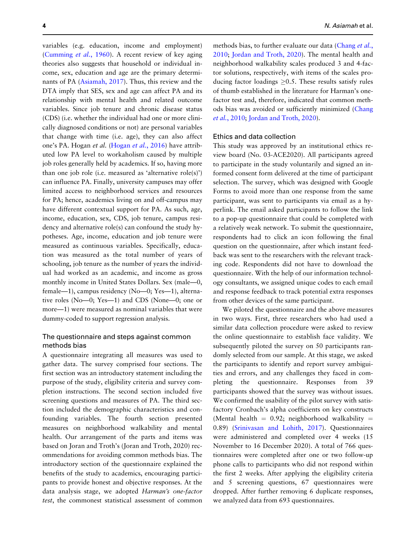variables (e.g. education, income and employment) [\(Cumming](#page-10-0) et al., 1960). A recent review of key aging theories also suggests that household or individual income, sex, education and age are the primary determinants of PA [\(Asiamah, 2017](#page-9-0)). Thus, this review and the DTA imply that SES, sex and age can affect PA and its relationship with mental health and related outcome variables. Since job tenure and chronic disease status (CDS) (i.e. whether the individual had one or more clinically diagnosed conditions or not) are personal variables that change with time (i.e. age), they can also affect one's PA. Hogan et al. [\(Hogan](#page-10-0) et al., 2016) have attributed low PA level to workaholism caused by multiple job roles generally held by academics. If so, having more than one job role (i.e. measured as 'alternative role(s)') can influence PA. Finally, university campuses may offer limited access to neighborhood services and resources for PA; hence, academics living on and off-campus may have different contextual support for PA. As such, age, income, education, sex, CDS, job tenure, campus residency and alternative role(s) can confound the study hypotheses. Age, income, education and job tenure were measured as continuous variables. Specifically, education was measured as the total number of years of schooling, job tenure as the number of years the individual had worked as an academic, and income as gross monthly income in United States Dollars. Sex (male—0, female—1), campus residency (No—0; Yes—1), alternative roles (No—0; Yes—1) and CDS (None—0; one or more—1) were measured as nominal variables that were dummy-coded to support regression analysis.

## The questionnaire and steps against common methods bias

A questionnaire integrating all measures was used to gather data. The survey comprised four sections. The first section was an introductory statement including the purpose of the study, eligibility criteria and survey completion instructions. The second section included five screening questions and measures of PA. The third section included the demographic characteristics and confounding variables. The fourth section presented measures on neighborhood walkability and mental health. Our arrangement of the parts and items was based on Joran and Troth's (Joran and Troth, 2020) recommendations for avoiding common methods bias. The introductory section of the questionnaire explained the benefits of the study to academics, encouraging participants to provide honest and objective responses. At the data analysis stage, we adopted Harman's one-factor test, the commonest statistical assessment of common

methods bias, to further evaluate our data ([Chang](#page-10-0) et al., [2010](#page-10-0); [Jordan and Troth, 2020](#page-10-0)). The mental health and neighborhood walkability scales produced 3 and 4-factor solutions, respectively, with items of the scales producing factor loadings  $\geq 0.5$ . These results satisfy rules of thumb established in the literature for Harman's onefactor test and, therefore, indicated that common methods bias was avoided or sufficiently minimized ([Chang](#page-10-0) et al.[, 2010;](#page-10-0) [Jordan and Troth, 2020](#page-10-0)).

#### Ethics and data collection

This study was approved by an institutional ethics review board (No. 03-ACE2020). All participants agreed to participate in the study voluntarily and signed an informed consent form delivered at the time of participant selection. The survey, which was designed with Google Forms to avoid more than one response from the same participant, was sent to participants via email as a hyperlink. The email asked participants to follow the link to a pop-up questionnaire that could be completed with a relatively weak network. To submit the questionnaire, respondents had to click an icon following the final question on the questionnaire, after which instant feedback was sent to the researchers with the relevant tracking code. Respondents did not have to download the questionnaire. With the help of our information technology consultants, we assigned unique codes to each email and response feedback to track potential extra responses from other devices of the same participant.

We piloted the questionnaire and the above measures in two ways. First, three researchers who had used a similar data collection procedure were asked to review the online questionnaire to establish face validity. We subsequently piloted the survey on 50 participants randomly selected from our sample. At this stage, we asked the participants to identify and report survey ambiguities and errors, and any challenges they faced in completing the questionnaire. Responses from 39 participants showed that the survey was without issues. We confirmed the usability of the pilot survey with satisfactory Cronbach's alpha coefficients on key constructs (Mental health  $= 0.92$ ; neighborhood walkability  $=$ 0.89) [\(Srinivasan and Lohith, 2017\)](#page-11-0). Questionnaires were administered and completed over 4 weeks (15 November to 16 December 2020). A total of 766 questionnaires were completed after one or two follow-up phone calls to participants who did not respond within the first 2 weeks. After applying the eligibility criteria and 5 screening questions, 67 questionnaires were dropped. After further removing 6 duplicate responses, we analyzed data from 693 questionnaires.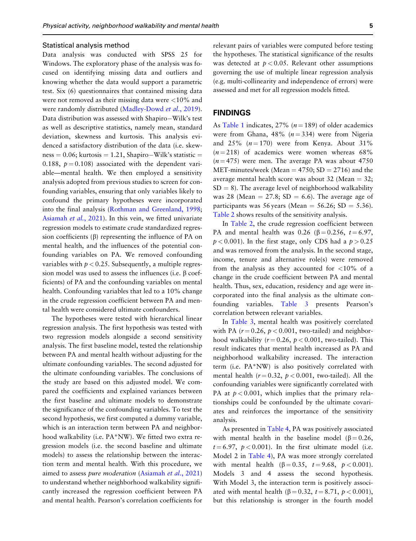#### Statistical analysis method

Data analysis was conducted with SPSS 25 for Windows. The exploratory phase of the analysis was focused on identifying missing data and outliers and knowing whether the data would support a parametric test. Six (6) questionnaires that contained missing data were not removed as their missing data were <10% and were randomly distributed ([Madley-Dowd](#page-10-0) et al., 2019). Data distribution was assessed with Shapiro-Wilk's test as well as descriptive statistics, namely mean, standard deviation, skewness and kurtosis. This analysis evidenced a satisfactory distribution of the data (i.e. skewness = 0.06; kurtosis = 1.21, Shapiro–Wilk's statistic = 0.188,  $p = 0.108$  associated with the dependent variable—mental health. We then employed a sensitivity analysis adopted from previous studies to screen for confounding variables, ensuring that only variables likely to confound the primary hypotheses were incorporated into the final analysis [\(Rothman and Greenland, 1998](#page-11-0); [Asiamah](#page-9-0) et al., 2021). In this vein, we fitted univariate regression models to estimate crude standardized regression coefficients  $(\beta)$  representing the influence of PA on mental health, and the influences of the potential confounding variables on PA. We removed confounding variables with  $p < 0.25$ . Subsequently, a multiple regression model was used to assess the influences (i.e.  $\beta$  coefficients) of PA and the confounding variables on mental health. Confounding variables that led to a 10% change in the crude regression coefficient between PA and mental health were considered ultimate confounders.

The hypotheses were tested with hierarchical linear regression analysis. The first hypothesis was tested with two regression models alongside a second sensitivity analysis. The first baseline model, tested the relationship between PA and mental health without adjusting for the ultimate confounding variables. The second adjusted for the ultimate confounding variables. The conclusions of the study are based on this adjusted model. We compared the coefficients and explained variances between the first baseline and ultimate models to demonstrate the significance of the confounding variables. To test the second hypothesis, we first computed a dummy variable, which is an interaction term between PA and neighborhood walkability (i.e. PA\*NW). We fitted two extra regression models (i.e. the second baseline and ultimate models) to assess the relationship between the interaction term and mental health. With this procedure, we aimed to assess pure moderation ([Asiamah](#page-9-0) et al., 2021) to understand whether neighborhood walkability significantly increased the regression coefficient between PA and mental health. Pearson's correlation coefficients for

relevant pairs of variables were computed before testing the hypotheses. The statistical significance of the results was detected at  $p < 0.05$ . Relevant other assumptions governing the use of multiple linear regression analysis (e.g. multi-collinearity and independence of errors) were assessed and met for all regression models fitted.

#### FINDINGS

As [Table 1](#page-5-0) indicates,  $27\%$  ( $n = 189$ ) of older academics were from Ghana, 48% ( $n = 334$ ) were from Nigeria and  $25\%$  ( $n = 170$ ) were from Kenya. About 31%  $(n = 218)$  of academics were women whereas 68%  $(n = 475)$  were men. The average PA was about 4750 MET-minutes/week (Mean =  $4750$ ; SD =  $2716$ ) and the average mental health score was about 32 (Mean  $=$  32;  $SD = 8$ ). The average level of neighborhood walkability was 28 (Mean  $= 27.8$ ; SD  $= 6.6$ ). The average age of participants was 56 years (Mean =  $56.26$ ; SD =  $5.36$ ). [Table 2](#page-5-0) shows results of the sensitivity analysis.

In [Table 2,](#page-5-0) the crude regression coefficient between PA and mental health was 0.26 ( $\beta = 0.256$ ,  $t = 6.97$ ,  $p < 0.001$ ). In the first stage, only CDS had a  $p > 0.25$ and was removed from the analysis. In the second stage, income, tenure and alternative role(s) were removed from the analysis as they accounted for  $\langle 10\% \rangle$  of a change in the crude coefficient between PA and mental health. Thus, sex, education, residency and age were incorporated into the final analysis as the ultimate confounding variables. [Table 3](#page-6-0) presents Pearson's correlation between relevant variables.

In [Table 3,](#page-6-0) mental health was positively correlated with PA  $(r = 0.26, p < 0.001$ , two-tailed) and neighborhood walkability ( $r = 0.26$ ,  $p < 0.001$ , two-tailed). This result indicates that mental health increased as PA and neighborhood walkability increased. The interaction term (i.e. PA\*NW) is also positively correlated with mental health ( $r = 0.32$ ,  $p < 0.001$ , two-tailed). All the confounding variables were significantly correlated with PA at  $p < 0.001$ , which implies that the primary relationships could be confounded by the ultimate covariates and reinforces the importance of the sensitivity analysis.

As presented in [Table 4](#page-7-0), PA was positively associated with mental health in the baseline model ( $\beta = 0.26$ ,  $t = 6.97$ ,  $p < 0.001$ ). In the first ultimate model (i.e. Model 2 in [Table 4\)](#page-7-0), PA was more strongly correlated with mental health  $(\beta = 0.35, t = 9.68, p < 0.001)$ . Models 3 and 4 assess the second hypothesis. With Model 3, the interaction term is positively associated with mental health ( $\beta = 0.32$ ,  $t = 8.71$ ,  $p < 0.001$ ), but this relationship is stronger in the fourth model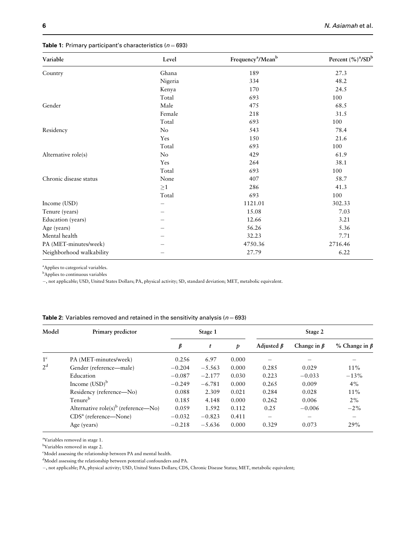# <span id="page-5-0"></span>Table 1: Primary participant's characteristics ( $n = 693$ )

| Variable                 | Level   | Frequency <sup>a</sup> /Mean <sup>b</sup> | Percent (%) <sup>a</sup> /SD <sup>b</sup> |
|--------------------------|---------|-------------------------------------------|-------------------------------------------|
| Country                  | Ghana   | 189                                       | 27.3                                      |
|                          | Nigeria | 334                                       | 48.2                                      |
|                          | Kenya   | 170                                       | 24.5                                      |
|                          | Total   | 693                                       | 100                                       |
| Gender                   | Male    | 475                                       | 68.5                                      |
|                          | Female  | 218                                       | 31.5                                      |
|                          | Total   | 693                                       | 100                                       |
| Residency                | No      | 543                                       | 78.4                                      |
|                          | Yes     | 150                                       | 21.6                                      |
|                          | Total   | 693                                       | 100                                       |
| Alternative role(s)      | No      | 429                                       | 61.9                                      |
|                          | Yes     | 264                                       | 38.1                                      |
|                          | Total   | 693                                       | 100                                       |
| Chronic disease status   | None    | 407                                       | 58.7                                      |
|                          | $\geq1$ | 286                                       | 41.3                                      |
|                          | Total   | 693                                       | 100                                       |
| Income (USD)             |         | 1121.01                                   | 302.33                                    |
| Tenure (years)           |         | 15.08                                     | 7.03                                      |
| Education (years)        |         | 12.66                                     | 3.21                                      |
| Age (years)              |         | 56.26                                     | 5.36                                      |
| Mental health            |         | 32.23                                     | 7.71                                      |
| PA (MET-minutes/week)    |         | 4750.36                                   | 2716.46                                   |
| Neighborhood walkability |         | 27.79                                     | 6.22                                      |

a Applies to categorical variables.

<sup>b</sup>Applies to continuous variables

-, not applicable; USD, United States Dollars; PA, physical activity; SD, standard deviation; MET, metabolic equivalent.

# Table 2: Variables removed and retained in the sensitivity analysis ( $n = 693$ )

| Model          | Primary predictor                               |          | Stage 1  |       |                          | Stage 2           |                          |
|----------------|-------------------------------------------------|----------|----------|-------|--------------------------|-------------------|--------------------------|
|                |                                                 | β        | t        | p     | Adjusted $\beta$         | Change in $\beta$ | % Change in $\beta$      |
| 1 <sup>c</sup> | PA (MET-minutes/week)                           | 0.256    | 6.97     | 0.000 |                          |                   |                          |
| 2 <sup>d</sup> | Gender (reference—male)                         | $-0.204$ | $-5.563$ | 0.000 | 0.285                    | 0.029             | 11%                      |
|                | Education                                       | $-0.087$ | $-2.177$ | 0.030 | 0.223                    | $-0.033$          | $-13%$                   |
|                | Income $(USD)^b$                                | $-0.249$ | $-6.781$ | 0.000 | 0.265                    | 0.009             | $4\%$                    |
|                | Residency (reference-No)                        | 0.088    | 2.309    | 0.021 | 0.284                    | 0.028             | 11%                      |
|                | Tenure <sup>b</sup>                             | 0.185    | 4.148    | 0.000 | 0.262                    | 0.006             | $2\%$                    |
|                | Alternative role(s) <sup>b</sup> (reference—No) | 0.059    | 1.592    | 0.112 | 0.25                     | $-0.006$          | $-2\%$                   |
|                | $CDSa$ (reference—None)                         | $-0.032$ | $-0.823$ | 0.411 | $\overline{\phantom{a}}$ |                   | $\overline{\phantom{a}}$ |
|                | Age (years)                                     | $-0.218$ | $-5.636$ | 0.000 | 0.329                    | 0.073             | 29%                      |

a Variables removed in stage 1.

b Variables removed in stage 2.

d Model assessing the relationship between potential confounders and PA.

-, not applicable; PA, physical activity; USD, United States Dollars; CDS, Chronic Disease Status; MET, metabolic equivalent;

c Model assessing the relationship between PA and mental health.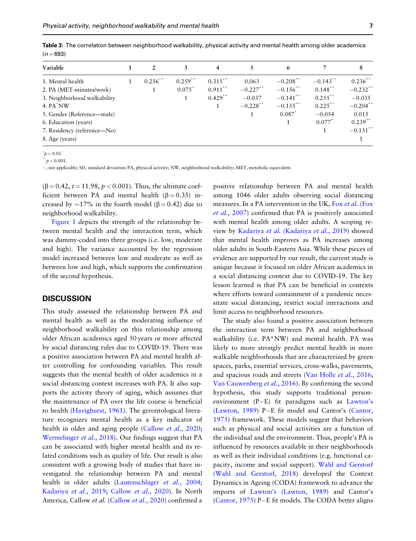| Variable                    | 2          | 3          | 4          |             | 6           |            | 8           |
|-----------------------------|------------|------------|------------|-------------|-------------|------------|-------------|
| 1. Mental health            | $0.256$ ** | $0.259$ ** | $0.315$ ** | 0.063       | $-0.208$ ** | $-0.143$ " | $0.236$ "   |
| 2. PA (MET-minutes/week)    |            | $0.075^*$  | $0.911$ ** | $-0.227$ ** | $-0.156$ ** | $0.148$ ** | $-0.232$ ** |
| 3. Neighborhood walkability |            |            | $0.429$ ** | $-0.037$    | $-0.141$ ** | $0.255$ ** | $-0.035$    |
| 4. PA NW                    |            |            |            | $-0.228$ ** | $-0.155$ ** | $0.225$ ** | $-0.204$ ** |
| 5. Gender (Reference—male)  |            |            |            |             | 0.087       | $-0.054$   | 0.015       |
| 6. Education (years)        |            |            |            |             |             | 0.077      | $0.239$ **  |
| 7. Residency (reference—No) |            |            |            |             |             |            | $-0.131$ ** |
| 8. Age (years)              |            |            |            |             |             |            |             |

<span id="page-6-0"></span>Table 3: The correlation between neighborhood walkability, physical activity and mental health among older academics  $(n = 693)$ 

 $p < 0.05$ .

 $p < 0.001$ .

-, not applicable; SD, standard deviation; PA, physical activity; NW, neighborhood walkability; MET, metabolic equivalent.

 $(\beta = 0.42, t = 11.98, p < 0.001)$ . Thus, the ultimate coefficient between PA and mental health ( $\beta$  = 0.35) increased by  $\sim$ 17% in the fourth model ( $\beta$  = 0.42) due to neighborhood walkability.

[Figure 1](#page-8-0) depicts the strength of the relationship between mental health and the interaction term, which was dummy-coded into three groups (i.e. low, moderate and high). The variance accounted by the regression model increased between low and moderate as well as between low and high, which supports the confirmation of the second hypothesis.

#### **DISCUSSION**

This study assessed the relationship between PA and mental health as well as the moderating influence of neighborhood walkability on this relationship among older African academics aged 50 years or more affected by social distancing rules due to COVID-19. There was a positive association between PA and mental health after controlling for confounding variables. This result suggests that the mental health of older academics in a social distancing context increases with PA. It also supports the activity theory of aging, which assumes that the maintenance of PA over the life course is beneficial to health [\(Havighurst, 1961](#page-10-0)). The gerontological literature recognizes mental health as a key indicator of health in older and aging people [\(Callow](#page-10-0) et al., 2020; [Wermelinger](#page-11-0) et al., 2018). Our findings suggest that PA can be associated with higher mental health and its related conditions such as quality of life. Our result is also consistent with a growing body of studies that have investigated the relationship between PA and mental health in older adults ([Lautenschlager](#page-10-0) et al., 2004; [Kadariya](#page-10-0) et al., 2019; [Callow](#page-10-0) et al., 2020). In North America, Callow et al. ([Callow](#page-10-0) et al., 2020) confirmed a

positive relationship between PA and mental health among 1046 older adults observing social distancing measures. In a PA intervention in the UK, Fox [et al.](#page-10-0) (Fox et al.[, 2007\)](#page-10-0) confirmed that PA is positively associated with mental health among older adults. A scoping review by Kadariya et al. [\(Kadariya](#page-10-0) et al., 2019) showed that mental health improves as PA increases among older adults in South-Eastern Asia. While these pieces of evidence are supported by our result, the current study is unique because it focused on older African academics in a social distancing context due to COVID-19. The key lesson learned is that PA can be beneficial in contexts where efforts toward containment of a pandemic necessitate social distancing, restrict social interactions and limit access to neighborhood resources.

The study also found a positive association between the interaction term between PA and neighborhood walkability (i.e. PA\*NW) and mental health. PA was likely to more strongly predict mental health in more walkable neighborhoods that are characterized by green spaces, parks, essential services, cross-walks, pavements, and spacious roads and streets [\(Van Holle](#page-11-0) et al., 2016; [Van Cauwenberg](#page-11-0) et al., 2016). By confirming the second hypothesis, this study supports traditional personenvironment (P-E) fit paradigms such as [Lawton's](#page-10-0) [\(Lawton, 1989\)](#page-10-0) P-E fit model and Cantor's [\(Cantor,](#page-10-0) [1975](#page-10-0)) framework. These models suggest that behaviors such as physical and social activities are a function of the individual and the environment. Thus, people's PA is influenced by resources available in their neighborhoods as well as their individual conditions (e.g. functional capacity, income and social support). [Wahl and Gerstorf](#page-11-0) [\(Wahl and Gerstorf, 2018](#page-11-0)) developed the Context Dynamics in Ageing (CODA) framework to advance the imports of [Lawton's \(Lawton, 1989\)](#page-10-0) and Cantor's [\(Cantor, 1975\)](#page-10-0) P-E fit models. The CODA better aligns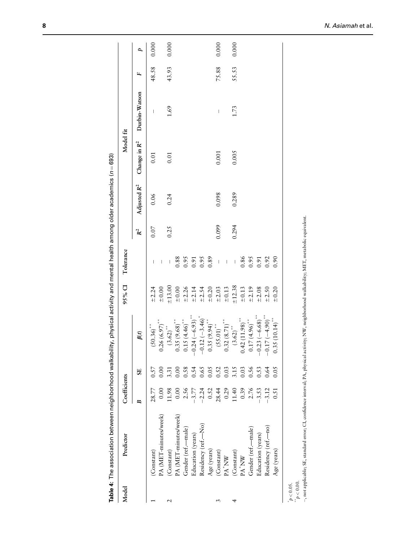<span id="page-7-0"></span>

| Model | Predictor             | Coefficients |              |                               | 95% CI | Tolerance                  |       |       | Model fit |                                                                                                                                                                                                                                                                                                                                                                                                                |       |       |
|-------|-----------------------|--------------|--------------|-------------------------------|--------|----------------------------|-------|-------|-----------|----------------------------------------------------------------------------------------------------------------------------------------------------------------------------------------------------------------------------------------------------------------------------------------------------------------------------------------------------------------------------------------------------------------|-------|-------|
|       |                       |              | SE           | $\beta(t)$                    |        |                            | $R^2$ |       |           | Adjusted $R^2$ Change in $R^2$ Durbin-Watson                                                                                                                                                                                                                                                                                                                                                                   |       |       |
|       | (Constant)            | 28.77        | 0.57         | $(50.36)$ **                  |        |                            | 0.07  | 0.06  | 0.01      |                                                                                                                                                                                                                                                                                                                                                                                                                | 48.58 | 0.000 |
|       | PA (MET-minutes/week) | 0.00         | 0.00         | $0.26(6.97)$ **               |        |                            |       |       |           |                                                                                                                                                                                                                                                                                                                                                                                                                |       |       |
|       | (Constant)            | 11.98        | 3.31         | $(3.62)$ <sup>**</sup>        |        |                            | 0.25  | 0.24  | 0.01      | 1.69                                                                                                                                                                                                                                                                                                                                                                                                           | 43.93 | 0.000 |
|       | PA (MET-minutes/week) | 0.00         | 0.00         | $0.35(9.68)$ **               |        |                            |       |       |           |                                                                                                                                                                                                                                                                                                                                                                                                                |       |       |
|       | Gender (ref.-male)    | 2.56         |              | $0.15(4.46)$ **               |        |                            |       |       |           |                                                                                                                                                                                                                                                                                                                                                                                                                |       |       |
|       | Education (years)     | $-3.77$      | 0.54<br>0.54 | $0.24 (-6.93)^*$              |        |                            |       |       |           |                                                                                                                                                                                                                                                                                                                                                                                                                |       |       |
|       | Residency (ref.-No)   | $-2.24$      |              |                               |        | 88<br>0.95<br>0.95<br>0.89 |       |       |           |                                                                                                                                                                                                                                                                                                                                                                                                                |       |       |
|       | Age (years)           | 0.52         | 0.05         | $-0.12 (-3.46)*0.35 (9.94)**$ |        |                            |       |       |           |                                                                                                                                                                                                                                                                                                                                                                                                                |       |       |
|       | (Constant)            | 28.44        | 0.52         | $(55.01)$ <sup>**</sup>       |        | $\overline{\phantom{a}}$   | 0.099 | 0.098 | 0.001     | $\begin{array}{c} \rule{0pt}{2ex} \rule{0pt}{2ex} \rule{0pt}{2ex} \rule{0pt}{2ex} \rule{0pt}{2ex} \rule{0pt}{2ex} \rule{0pt}{2ex} \rule{0pt}{2ex} \rule{0pt}{2ex} \rule{0pt}{2ex} \rule{0pt}{2ex} \rule{0pt}{2ex} \rule{0pt}{2ex} \rule{0pt}{2ex} \rule{0pt}{2ex} \rule{0pt}{2ex} \rule{0pt}{2ex} \rule{0pt}{2ex} \rule{0pt}{2ex} \rule{0pt}{2ex} \rule{0pt}{2ex} \rule{0pt}{2ex} \rule{0pt}{2ex} \rule{0pt}{$ | 75.88 | 0.000 |
|       | $PA^*NW$              | 0.29         | 0.03         | $0.32(8.71)$ **               |        | $\overline{\phantom{a}}$   |       |       |           |                                                                                                                                                                                                                                                                                                                                                                                                                |       |       |
|       | (Constant)            | 1.40         | 3.15         | $(3.62)$ <sup>**</sup>        |        | $\overline{\phantom{a}}$   | 0.294 | 0.289 | 0.005     | 1.73                                                                                                                                                                                                                                                                                                                                                                                                           | 55.53 | 0.000 |
|       | PA <sup>*</sup> NW    | 0.39         | 0.03         | $0.42(11.98)$ **              |        |                            |       |       |           |                                                                                                                                                                                                                                                                                                                                                                                                                |       |       |
|       | Gender (ref.-male)    | 2.76         | 0.56         | $0.17(4.96)$ **               |        | $0.86$<br>0.95             |       |       |           |                                                                                                                                                                                                                                                                                                                                                                                                                |       |       |
|       | Education (years)     | $-3.53$      | 0.53         | $0.23(-6.68)$                 |        |                            |       |       |           |                                                                                                                                                                                                                                                                                                                                                                                                                |       |       |
|       | Residency (ref.-no)   | $-3.12$      | 0.64         | $-0.17 (-4.90)^{**}$          |        | 0.92                       |       |       |           |                                                                                                                                                                                                                                                                                                                                                                                                                |       |       |
|       | Age (years)           | 0.51         | 0.05         | $0.35(10.14)^{**}$            |        | 0.90                       |       |       |           |                                                                                                                                                                                                                                                                                                                                                                                                                |       |       |
|       |                       |              |              |                               |        |                            |       |       |           |                                                                                                                                                                                                                                                                                                                                                                                                                |       |       |

Table 4: The association between neighborhood walkability, physical activity and mental health among older academics (n=693) **Table 4**: The association between neighborhood walkability, physical activity and mental health among older academics (n=693)

 $\frac{p}{p}$  < 0.05.<br>  $\frac{p}{p}$  < 0.00.

-, not applicable; SE, standard error; CI, confidence interval; PA, physical activity; NW, neighborhood walkability; MET, metabolic equivalent. , not applicable; SE, standard error; CI, confidence interval; PA, physical activity; NW, neighborhood walkability; MET, metabolic equivalent.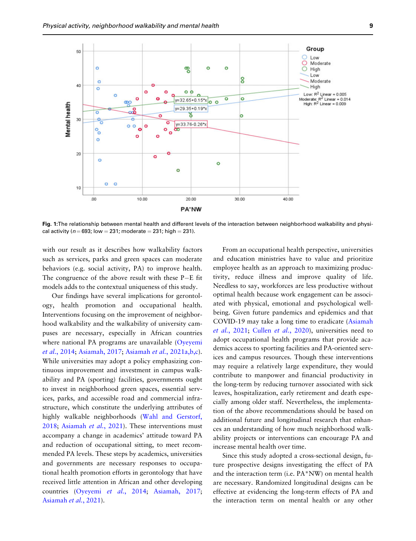<span id="page-8-0"></span>

Fig. 1:The relationship between mental health and different levels of the interaction between neighborhood walkability and physical activity ( $n = 693$ ; low = 231; moderate = 231; high = 231).

with our result as it describes how walkability factors such as services, parks and green spaces can moderate behaviors (e.g. social activity, PA) to improve health. The congruence of the above result with these P-E fit models adds to the contextual uniqueness of this study.

Our findings have several implications for gerontology, health promotion and occupational health. Interventions focusing on the improvement of neighborhood walkability and the walkability of university campuses are necessary, especially in African countries where national PA programs are unavailable ([Oyeyemi](#page-10-0) et al.[, 2014](#page-10-0); [Asiamah, 2017;](#page-9-0) Asiamah et al.[, 2021a,b,c](#page-9-0)). While universities may adopt a policy emphasizing continuous improvement and investment in campus walkability and PA (sporting) facilities, governments ought to invest in neighborhood green spaces, essential services, parks, and accessible road and commercial infrastructure, which constitute the underlying attributes of highly walkable neighborhoods ([Wahl and Gerstorf,](#page-11-0) [2018](#page-11-0); [Asiamah](#page-9-0) et al., 2021). These interventions must accompany a change in academics' attitude toward PA and reduction of occupational sitting, to meet recommended PA levels. These steps by academics, universities and governments are necessary responses to occupational health promotion efforts in gerontology that have received little attention in African and other developing countries ([Oyeyemi](#page-10-0) et al., 2014; [Asiamah, 2017](#page-9-0); [Asiamah](#page-9-0) et al., 2021).

From an occupational health perspective, universities and education ministries have to value and prioritize employee health as an approach to maximizing productivity, reduce illness and improve quality of life. Needless to say, workforces are less productive without optimal health because work engagement can be associated with physical, emotional and psychological wellbeing. Given future pandemics and epidemics and that COVID-19 may take a long time to eradicate ([Asiamah](#page-9-0) et al.[, 2021](#page-9-0); Cullen et al.[, 2020](#page-10-0)), universities need to adopt occupational health programs that provide academics access to sporting facilities and PA-oriented services and campus resources. Though these interventions may require a relatively large expenditure, they would contribute to manpower and financial productivity in the long-term by reducing turnover associated with sick leaves, hospitalization, early retirement and death especially among older staff. Nevertheless, the implementation of the above recommendations should be based on additional future and longitudinal research that enhances an understanding of how much neighborhood walkability projects or interventions can encourage PA and increase mental health over time.

Since this study adopted a cross-sectional design, future prospective designs investigating the effect of PA and the interaction term (i.e. PA\*NW) on mental health are necessary. Randomized longitudinal designs can be effective at evidencing the long-term effects of PA and the interaction term on mental health or any other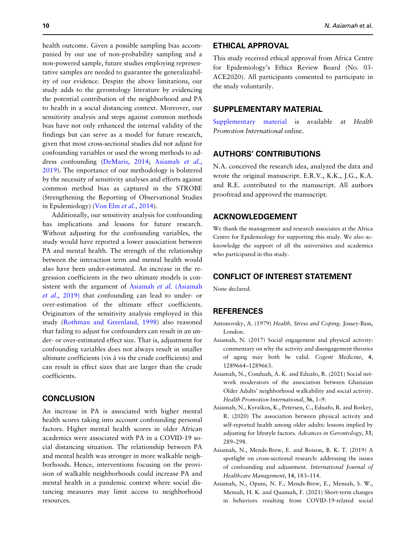<span id="page-9-0"></span>health outcome. Given a possible sampling bias accompanied by our use of non-probability sampling and a non-powered sample, future studies employing representative samples are needed to guarantee the generalizability of our evidence. Despite the above limitations, our study adds to the gerontology literature by evidencing the potential contribution of the neighborhood and PA to health in a social distancing context. Moreover, our sensitivity analysis and steps against common methods bias have not only enhanced the internal validity of the findings but can serve as a model for future research, given that most cross-sectional studies did not adjust for confounding variables or used the wrong methods to address confounding ([DeMaris, 2014;](#page-10-0) Asiamah et al., 2019). The importance of our methodology is bolstered by the necessity of sensitivity analyses and efforts against common method bias as captured in the STROBE (Strengthening the Reporting of Observational Studies in Epidemiology) [\(Von Elm](#page-11-0) et al., 2014).

Additionally, our sensitivity analysis for confounding has implications and lessons for future research. Without adjusting for the confounding variables, the study would have reported a lower association between PA and mental health. The strength of the relationship between the interaction term and mental health would also have been under-estimated. An increase in the regression coefficients in the two ultimate models is consistent with the argument of Asiamah et al. (Asiamah et al., 2019) that confounding can lead to under- or over-estimation of the ultimate effect coefficients. Originators of the sensitivity analysis employed in this study ([Rothman and Greenland, 1998\)](#page-11-0) also reasoned that failing to adjust for confounders can result in an under- or over-estimated effect size. That is, adjustment for confounding variables does not always result in smaller ultimate coefficients (vis a` vis the crude coefficients) and can result in effect sizes that are larger than the crude coefficients.

# **CONCLUSION**

An increase in PA is associated with higher mental health scores taking into account confounding personal factors. Higher mental health scores in older African academics were associated with PA in a COVID-19 social distancing situation. The relationship between PA and mental health was stronger in more walkable neighborhoods. Hence, interventions focusing on the provision of walkable neighborhoods could increase PA and mental health in a pandemic context where social distancing measures may limit access to neighborhood resources.

# ETHICAL APPROVAL

This study received ethical approval from Africa Centre for Epidemiology's Ethics Review Board (No. 03- ACE2020). All participants consented to participate in the study voluntarily.

#### SUPPLEMENTARY MATERIAL

[Supplementary material](https://academic.oup.com/heapro/article-lookup/doi/10.1093/heapro/daab093#supplementary-data) is available at Health Promotion International online.

# AUTHORS' CONTRIBUTIONS

N.A. conceived the research idea, analyzed the data and wrote the original manuscript. E.R.V., K.K., J.G., K.A. and R.E. contributed to the manuscript. All authors proofread and approved the manuscript.

#### ACKNOWLEDGEMENT

We thank the management and research associates at the Africa Centre for Epidemiology for supporting this study. We also acknowledge the support of all the universities and academics who participated in this study.

# CONFLICT OF INTEREST STATEMENT

None declared.

#### REFERENCES

- Antonovsky, A. (1979) Health, Stress and Coping. Jossey-Bass, London.
- Asiamah, N. (2017) Social engagement and physical activity: commentary on why the activity and disengagement theories of aging may both be valid. Cogent Medicine, 4, 1289664–1289663.
- Asiamah, N., Conduah, A. K. and Eduafo, R. (2021) Social network moderators of the association between Ghanaian Older Adults' neighborhood walkability and social activity. Health Promotion International, 36, 1–9.
- Asiamah, N., Kyraikos, K., Petersen, C., Eduafo, R. and Borkey, R. (2020) The association between physical activity and self-reported health among older adults: lessons implied by adjusting for lifestyle factors. Advances in Gerontology, 33, 289–298.
- Asiamah, N., Mends-Brew, E. and Boison, B. K. T. (2019) A spotlight on cross-sectional research: addressing the issues of confounding and adjustment. International Journal of Healthcare Management, 14, 183–114.
- Asiamah, N., Opuni, N. F., Mends-Brew, E., Mensah, S. W., Mensah, H. K. and Quansah, F. (2021) Short-term changes in behaviors resulting from COVID-19-related social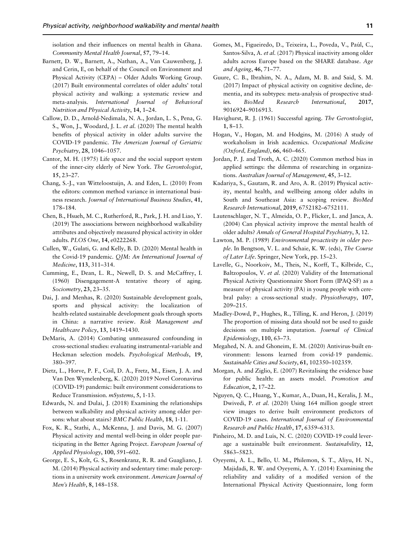<span id="page-10-0"></span>isolation and their influences on mental health in Ghana. Community Mental Health Journal, 57, 79–14.

- Barnett, D. W., Barnett, A., Nathan, A., Van Cauwenberg, J. and Cerin, E, on behalf of the Council on Environment and Physical Activity (CEPA) – Older Adults Working Group. (2017) Built environmental correlates of older adults' total physical activity and walking: a systematic review and meta-analysis. International Journal of Behavioral Nutrition and Physical Activity, 14, 1–24.
- Callow, D. D., Arnold-Nedimala, N. A., Jordan, L. S., Pena, G. S., Won, J., Woodard, J. L. et al. (2020) The mental health benefits of physical activity in older adults survive the COVID-19 pandemic. The American Journal of Geriatric Psychiatry, 28, 1046–1057.
- Cantor, M. H. (1975) Life space and the social support system of the inner-city elderly of New York. The Gerontologist, 15, 23–27.
- Chang, S.-J., van Witteloostuijn, A. and Eden, L. (2010) From the editors: common method variance in international business research. Journal of International Business Studies, 41, 178–184.
- Chen, B., Hsueh, M. C., Rutherford, R., Park, J. H. and Liao, Y. (2019) The associations between neighborhood walkability attributes and objectively measured physical activity in older adults. PLOS One, 14, e0222268.
- Cullen, W., Gulati, G. and Kelly, B. D. (2020) Mental health in the Covid-19 pandemic. QJM: An International Journal of Medicine, 113, 311–314.
- Cumming, E., Dean, L. R., Newell, D. S. and McCaffrey, I. (1960) Disengagement-A tentative theory of aging. Sociometry, 23, 23–35.
- Dai, J. and Menhas, R. (2020) Sustainable development goals, sports and physical activity: the localization of health-related sustainable development goals through sports in China: a narrative review. Risk Management and Healthcare Policy, 13, 1419–1430.
- DeMaris, A. (2014) Combating unmeasured confounding in cross-sectional studies: evaluating instrumental-variable and Heckman selection models. Psychological Methods, 19, 380–397.
- Dietz, L., Horve, P. F., Coil, D. A., Fretz, M., Eisen, J. A. and Van Den Wymelenberg, K. (2020) 2019 Novel Coronavirus (COVID-19) pandemic: built environment considerations to Reduce Transmission. mSystems, 5,<1-13>.
- Edwards, N. and Dulai, J. (2018) Examining the relationships between walkability and physical activity among older persons: what about stairs? BMC Public Health, 18, [1-11.](1-11)
- Fox, K. R., Stathi, A., McKenna, J. and Davis, M. G. (2007) Physical activity and mental well-being in older people participating in the Better Ageing Project. European Journal of Applied Physiology, 100, 591–602.
- George, E. S., Kolt, G. S., Rosenkranz, R. R. and Guagliano, J. M. (2014) Physical activity and sedentary time: male perceptions in a university work environment. American Journal of Men's Health, 8, 148–158.
- Gomes, M., Figueiredo, D., Teixeira, L., Poveda, V., Paúl, C., Santos-Silva, A. et al. (2017) Physical inactivity among older adults across Europe based on the SHARE database. Age and Ageing, 46, 71–77.
- Guure, C. B., Ibrahim, N. A., Adam, M. B. and Said, S. M. (2017) Impact of physical activity on cognitive decline, dementia, and its subtypes: meta-analysis of prospective studies. BioMed Research International, 2017, 9016924–9016913.
- Havighurst, R. J. (1961) Successful ageing. The Gerontologist, 1, 8–13.
- Hogan, V., Hogan, M. and Hodgins, M. (2016) A study of workaholism in Irish academics. Occupational Medicine (Oxford, England), 66, 460–465.
- Jordan, P. J. and Troth, A. C. (2020) Common method bias in applied settings: the dilemma of researching in organizations. Australian Journal of Management, 45, 3–12.
- Kadariya, S., Gautam, R. and Aro, A. R. (2019) Physical activity, mental health, and wellbeing among older adults in South and Southeast Asia: a scoping review. BioMed Research International, 2019, 6752182–6752111.
- Lautenschlager, N. T., Almeida, O. P., Flicker, L. and Janca, A. (2004) Can physical activity improve the mental health of older adults? Annals of General Hospital Psychiatry, 3, 12.
- Lawton, M. P. (1989) Environmental proactivity in older people. In Bengtson, V. L. and Schaie, K. W. (eds), The Course of Later Life. Springer, New York, pp. 15–23.
- Lavelle, G., Noorkoiv, M., Theis, N., Korff, T., Kilbride, C., Baltzopoulos, V. et al. (2020) Validity of the International Physical Activity Questionnaire Short Form (IPAQ-SF) as a measure of physical activity (PA) in young people with cerebral palsy: a cross-sectional study. Physiotherapy, 107, 209–215.
- Madley-Dowd, P., Hughes, R., Tilling, K. and Heron, J. (2019) The proportion of missing data should not be used to guide decisions on multiple imputation. Journal of Clinical Epidemiology, 110, 63–73.
- Megahed, N. A. and Ghoneim, E. M. (2020) Antivirus-built environment: lessons learned from covid-19 pandemic. Sustainable Cities and Society, 61, 102350–102359.
- Morgan, A. and Ziglio, E. (2007) Revitalising the evidence base for public health: an assets model. Promotion and Education, 2, 17–22.
- Nguyen, Q. C., Huang, Y., Kumar, A., Duan, H., Keralis, J. M., Dwivedi, P. et al. (2020) Using 164 million google street view images to derive built environment predictors of COVID-19 cases. International Journal of Environmental Research and Public Health, 17, 6359–6313.
- Pinheiro, M. D. and Luís, N. C. (2020) COVID-19 could leverage a sustainable built environment. Sustainability, 12, 5863–5823.
- Oyeyemi, A. L., Bello, U. M., Philemon, S. T., Aliyu, H. N., Majidadi, R. W. and Oyeyemi, A. Y. (2014) Examining the reliability and validity of a modified version of the International Physical Activity Questionnaire, long form